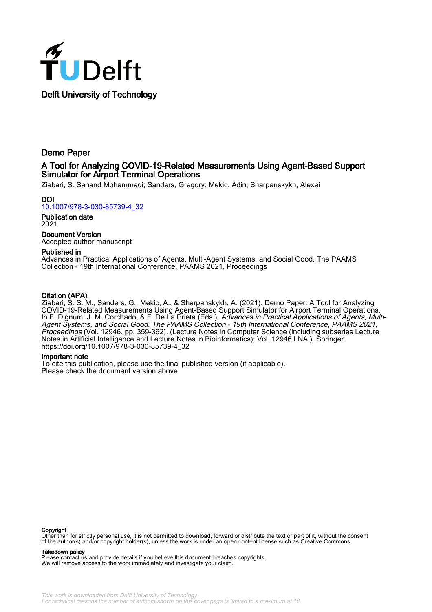

Demo Paper

# A Tool for Analyzing COVID-19-Related Measurements Using Agent-Based Support Simulator for Airport Terminal Operations

Ziabari, S. Sahand Mohammadi; Sanders, Gregory; Mekic, Adin; Sharpanskykh, Alexei

DOI [10.1007/978-3-030-85739-4\\_32](https://doi.org/10.1007/978-3-030-85739-4_32)

Publication date 2021

Document Version Accepted author manuscript

## Published in

Advances in Practical Applications of Agents, Multi-Agent Systems, and Social Good. The PAAMS Collection - 19th International Conference, PAAMS 2021, Proceedings

## Citation (APA)

Ziabari, S. S. M., Sanders, G., Mekic, A., & Sharpanskykh, A. (2021). Demo Paper: A Tool for Analyzing COVID-19-Related Measurements Using Agent-Based Support Simulator for Airport Terminal Operations. In F. Dignum, J. M. Corchado, & F. De La Prieta (Eds.), Advances in Practical Applications of Agents, Multi-Agent Systems, and Social Good. The PAAMS Collection - 19th International Conference, PAAMS 2021, Proceedings (Vol. 12946, pp. 359-362). (Lecture Notes in Computer Science (including subseries Lecture Notes in Artificial Intelligence and Lecture Notes in Bioinformatics); Vol. 12946 LNAI). Springer. [https://doi.org/10.1007/978-3-030-85739-4\\_32](https://doi.org/10.1007/978-3-030-85739-4_32)

### Important note

To cite this publication, please use the final published version (if applicable). Please check the document version above.

### Copyright

Other than for strictly personal use, it is not permitted to download, forward or distribute the text or part of it, without the consent of the author(s) and/or copyright holder(s), unless the work is under an open content license such as Creative Commons.

#### Takedown policy

Please contact us and provide details if you believe this document breaches copyrights. We will remove access to the work immediately and investigate your claim.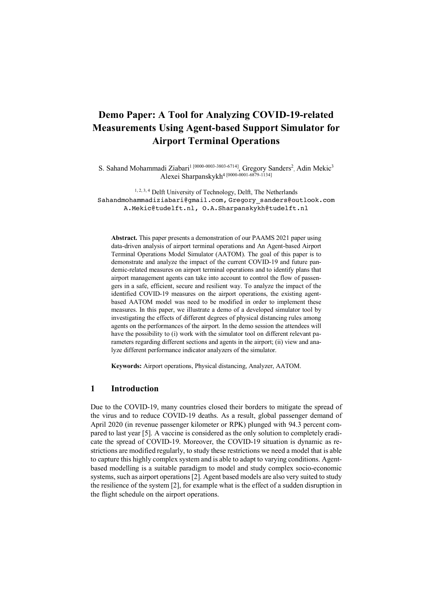# **Demo Paper: A Tool for Analyzing COVID-19-related Measurements Using Agent-based Support Simulator for Airport Terminal Operations**

S. Sahand Mohammadi Ziabari<sup>1 [0000-0003-3803-6714]</sup>, Gregory Sanders<sup>2</sup>, Adin Mekic<sup>3</sup> Alexei Sharpanskykh<sup>4 [0000-0001-6879-1134]</sup>

1, 2, 3, 4 Delft University of Technology, Delft, The Netherlands Sahandmohammadiziabari@gmail.com, Gregory sanders@outlook.com A.Mekic@tudelft.nl, O.A.Sharpanskykh@tudelft.nl

**Abstract.** This paper presents a demonstration of our PAAMS 2021 paper using data-driven analysis of airport terminal operations and An Agent-based Airport Terminal Operations Model Simulator (AATOM). The goal of this paper is to demonstrate and analyze the impact of the current COVID-19 and future pandemic-related measures on airport terminal operations and to identify plans that airport management agents can take into account to control the flow of passengers in a safe, efficient, secure and resilient way. To analyze the impact of the identified COVID-19 measures on the airport operations, the existing agentbased AATOM model was need to be modified in order to implement these measures. In this paper, we illustrate a demo of a developed simulator tool by investigating the effects of different degrees of physical distancing rules among agents on the performances of the airport. In the demo session the attendees will have the possibility to (i) work with the simulator tool on different relevant parameters regarding different sections and agents in the airport; (ii) view and analyze different performance indicator analyzers of the simulator.

**Keywords:** Airport operations, Physical distancing, Analyzer, AATOM.

# **1 Introduction**

Due to the COVID-19, many countries closed their borders to mitigate the spread of the virus and to reduce COVID-19 deaths. As a result, global passenger demand of April 2020 (in revenue passenger kilometer or RPK) plunged with 94.3 percent compared to last year [5]. A vaccine is considered as the only solution to completely eradicate the spread of COVID-19. Moreover, the COVID-19 situation is dynamic as restrictions are modified regularly, to study these restrictions we need a model that is able to capture this highly complex system and is able to adapt to varying conditions. Agentbased modelling is a suitable paradigm to model and study complex socio-economic systems, such as airport operations [2]. Agent based models are also very suited to study the resilience of the system [2], for example what is the effect of a sudden disruption in the flight schedule on the airport operations.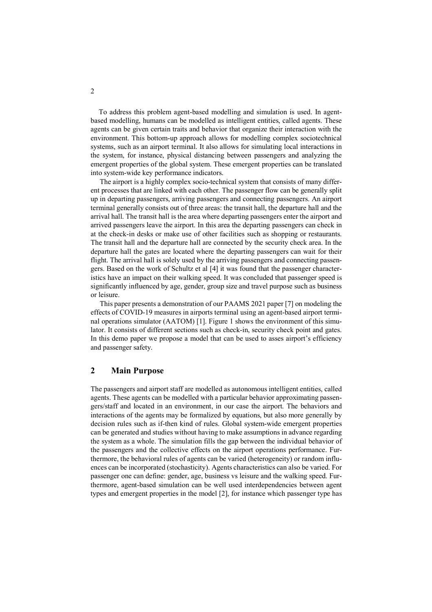To address this problem agent-based modelling and simulation is used. In agentbased modelling, humans can be modelled as intelligent entities, called agents. These agents can be given certain traits and behavior that organize their interaction with the environment. This bottom-up approach allows for modelling complex sociotechnical systems, such as an airport terminal. It also allows for simulating local interactions in the system, for instance, physical distancing between passengers and analyzing the emergent properties of the global system. These emergent properties can be translated into system-wide key performance indicators.

 The airport is a highly complex socio-technical system that consists of many different processes that are linked with each other. The passenger flow can be generally split up in departing passengers, arriving passengers and connecting passengers. An airport terminal generally consists out of three areas: the transit hall, the departure hall and the arrival hall. The transit hall is the area where departing passengers enter the airport and arrived passengers leave the airport. In this area the departing passengers can check in at the check-in desks or make use of other facilities such as shopping or restaurants. The transit hall and the departure hall are connected by the security check area. In the departure hall the gates are located where the departing passengers can wait for their flight. The arrival hall is solely used by the arriving passengers and connecting passengers. Based on the work of Schultz et al [4] it was found that the passenger characteristics have an impact on their walking speed. It was concluded that passenger speed is significantly influenced by age, gender, group size and travel purpose such as business or leisure.

 This paper presents a demonstration of our PAAMS 2021 paper [7] on modeling the effects of COVID-19 measures in airports terminal using an agent-based airport terminal operations simulator (AATOM) [1]. Figure 1 shows the environment of this simulator. It consists of different sections such as check-in, security check point and gates. In this demo paper we propose a model that can be used to asses airport's efficiency and passenger safety.

# **2 Main Purpose**

The passengers and airport staff are modelled as autonomous intelligent entities, called agents. These agents can be modelled with a particular behavior approximating passengers/staff and located in an environment, in our case the airport. The behaviors and interactions of the agents may be formalized by equations, but also more generally by decision rules such as if-then kind of rules. Global system-wide emergent properties can be generated and studies without having to make assumptions in advance regarding the system as a whole. The simulation fills the gap between the individual behavior of the passengers and the collective effects on the airport operations performance. Furthermore, the behavioral rules of agents can be varied (heterogeneity) or random influences can be incorporated (stochasticity). Agents characteristics can also be varied. For passenger one can define: gender, age, business vs leisure and the walking speed. Furthermore, agent-based simulation can be well used interdependencies between agent types and emergent properties in the model [2], for instance which passenger type has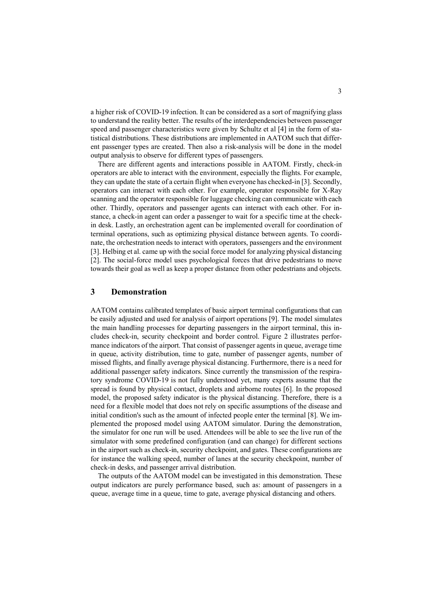a higher risk of COVID-19 infection. It can be considered as a sort of magnifying glass to understand the reality better. The results of the interdependencies between passenger speed and passenger characteristics were given by Schultz et al [4] in the form of statistical distributions. These distributions are implemented in AATOM such that different passenger types are created. Then also a risk-analysis will be done in the model output analysis to observe for different types of passengers.

 There are different agents and interactions possible in AATOM. Firstly, check-in operators are able to interact with the environment, especially the flights. For example, they can update the state of a certain flight when everyone has checked-in [3]. Secondly, operators can interact with each other. For example, operator responsible for X-Ray scanning and the operator responsible for luggage checking can communicate with each other. Thirdly, operators and passenger agents can interact with each other. For instance, a check-in agent can order a passenger to wait for a specific time at the checkin desk. Lastly, an orchestration agent can be implemented overall for coordination of terminal operations, such as optimizing physical distance between agents. To coordinate, the orchestration needs to interact with operators, passengers and the environment [3]. Helbing et al. came up with the social force model for analyzing physical distancing [2]. The social-force model uses psychological forces that drive pedestrians to move towards their goal as well as keep a proper distance from other pedestrians and objects.

## **3 Demonstration**

AATOM contains calibrated templates of basic airport terminal configurations that can be easily adjusted and used for analysis of airport operations [9]. The model simulates the main handling processes for departing passengers in the airport terminal, this includes check-in, security checkpoint and border control. Figure 2 illustrates performance indicators of the airport. That consist of passenger agents in queue, average time in queue, activity distribution, time to gate, number of passenger agents, number of missed flights, and finally average physical distancing. Furthermore, there is a need for additional passenger safety indicators. Since currently the transmission of the respiratory syndrome COVID-19 is not fully understood yet, many experts assume that the spread is found by physical contact, droplets and airborne routes [6]. In the proposed model, the proposed safety indicator is the physical distancing. Therefore, there is a need for a flexible model that does not rely on specific assumptions of the disease and initial condition's such as the amount of infected people enter the terminal [8]. We implemented the proposed model using AATOM simulator. During the demonstration, the simulator for one run will be used. Attendees will be able to see the live run of the simulator with some predefined configuration (and can change) for different sections in the airport such as check-in, security checkpoint, and gates. These configurations are for instance the walking speed, number of lanes at the security checkpoint, number of check-in desks, and passenger arrival distribution.

 The outputs of the AATOM model can be investigated in this demonstration. These output indicators are purely performance based, such as: amount of passengers in a queue, average time in a queue, time to gate, average physical distancing and others.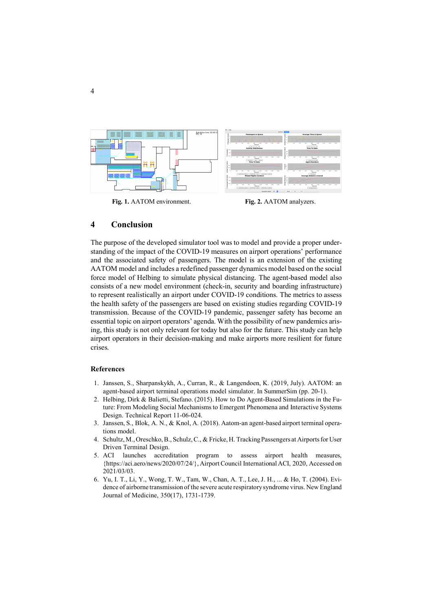

## **4 Conclusion**

The purpose of the developed simulator tool was to model and provide a proper understanding of the impact of the COVID-19 measures on airport operations' performance and the associated safety of passengers. The model is an extension of the existing AATOM model and includes a redefined passenger dynamics model based on the social force model of Helbing to simulate physical distancing. The agent-based model also consists of a new model environment (check-in, security and boarding infrastructure) to represent realistically an airport under COVID-19 conditions. The metrics to assess the health safety of the passengers are based on existing studies regarding COVID-19 transmission. Because of the COVID-19 pandemic, passenger safety has become an essential topic on airport operators' agenda. With the possibility of new pandemics arising, this study is not only relevant for today but also for the future. This study can help airport operators in their decision-making and make airports more resilient for future crises.

### **References**

- 1. Janssen, S., Sharpanskykh, A., Curran, R., & Langendoen, K. (2019, July). AATOM: an agent-based airport terminal operations model simulator. In SummerSim (pp. 20-1).
- 2. Helbing, Dirk & Balietti, Stefano. (2015). How to Do Agent-Based Simulations in the Future: From Modeling Social Mechanisms to Emergent Phenomena and Interactive Systems Design. Technical Report 11-06-024.
- 3. Janssen, S., Blok, A. N., & Knol, A. (2018). Aatom-an agent-based airport terminal operations model.
- 4. Schultz, M., Oreschko, B., Schulz, C., & Fricke, H. Tracking Passengers at Airports for User Driven Terminal Design.
- 5. ACI launches accreditation program to assess airport health measures, {https://aci.aero/news/2020/07/24/}, Airport Council International ACI, 2020, Accessed on 2021/03/03.
- 6. Yu, I. T., Li, Y., Wong, T. W., Tam, W., Chan, A. T., Lee, J. H., ... & Ho, T. (2004). Evidence of airborne transmission of the severe acute respiratory syndrome virus. New England Journal of Medicine, 350(17), 1731-1739.